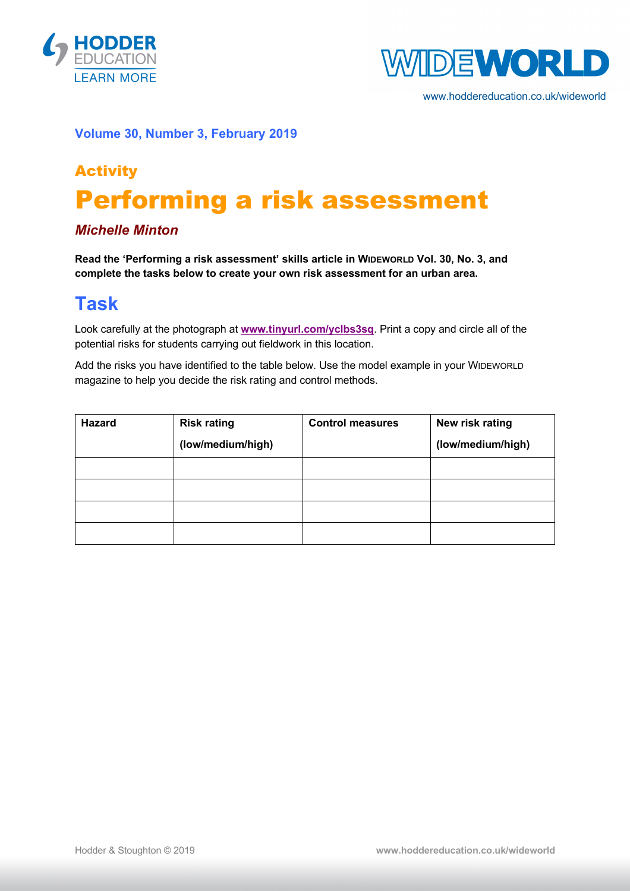



www.hoddereducation.co.uk/wideworld

#### **Volume 30, Number 3, February 2019**

# Activity Performing a risk assessment

### *Michelle Minton*

**Read the 'Performing a risk assessment' skills article in WIDEWORLD Vol. 30, No. 3, and complete the tasks below to create your own risk assessment for an urban area.**

### **Task**

Look carefully at the photograph at **www.tinyurl.com/yclbs3sq**. Print a copy and circle all of the potential risks for students carrying out fieldwork in this location.

Add the risks you have identified to the table below. Use the model example in your WIDEWORLD magazine to help you decide the risk rating and control methods.

| <b>Hazard</b> | <b>Risk rating</b> | <b>Control measures</b> | New risk rating   |
|---------------|--------------------|-------------------------|-------------------|
|               | (low/medium/high)  |                         | (low/medium/high) |
|               |                    |                         |                   |
|               |                    |                         |                   |
|               |                    |                         |                   |
|               |                    |                         |                   |